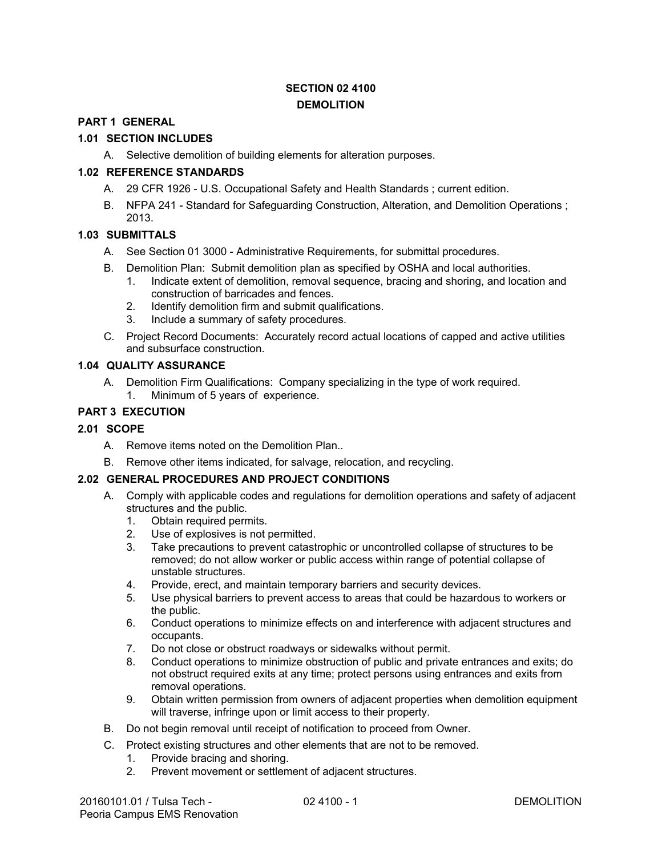## **SECTION 02 4100 DEMOLITION**

#### **PART 1 GENERAL**

#### **1.01 SECTION INCLUDES**

A. Selective demolition of building elements for alteration purposes.

## **1.02 REFERENCE STANDARDS**

- A. 29 CFR 1926 U.S. Occupational Safety and Health Standards ; current edition.
- B. NFPA 241 Standard for Safeguarding Construction, Alteration, and Demolition Operations ; 2013.

#### **1.03 SUBMITTALS**

- A. See Section 01 3000 Administrative Requirements, for submittal procedures.
- B. Demolition Plan: Submit demolition plan as specified by OSHA and local authorities.
	- 1. Indicate extent of demolition, removal sequence, bracing and shoring, and location and construction of barricades and fences.
	- 2. Identify demolition firm and submit qualifications.
	- 3. Include a summary of safety procedures.
- C. Project Record Documents: Accurately record actual locations of capped and active utilities and subsurface construction.

#### **1.04 QUALITY ASSURANCE**

A. Demolition Firm Qualifications: Company specializing in the type of work required. 1. Minimum of 5 years of experience.

#### **PART 3 EXECUTION**

#### **2.01 SCOPE**

- A. Remove items noted on the Demolition Plan..
- B. Remove other items indicated, for salvage, relocation, and recycling.

#### **2.02 GENERAL PROCEDURES AND PROJECT CONDITIONS**

- A. Comply with applicable codes and regulations for demolition operations and safety of adjacent structures and the public.
	- 1. Obtain required permits.
	- 2. Use of explosives is not permitted.
	- 3. Take precautions to prevent catastrophic or uncontrolled collapse of structures to be removed; do not allow worker or public access within range of potential collapse of unstable structures.
	- 4. Provide, erect, and maintain temporary barriers and security devices.
	- 5. Use physical barriers to prevent access to areas that could be hazardous to workers or the public.
	- 6. Conduct operations to minimize effects on and interference with adjacent structures and occupants.
	- 7. Do not close or obstruct roadways or sidewalks without permit.
	- 8. Conduct operations to minimize obstruction of public and private entrances and exits; do not obstruct required exits at any time; protect persons using entrances and exits from removal operations.
	- 9. Obtain written permission from owners of adjacent properties when demolition equipment will traverse, infringe upon or limit access to their property.
- B. Do not begin removal until receipt of notification to proceed from Owner.
- C. Protect existing structures and other elements that are not to be removed.
	- 1. Provide bracing and shoring.
	- 2. Prevent movement or settlement of adjacent structures.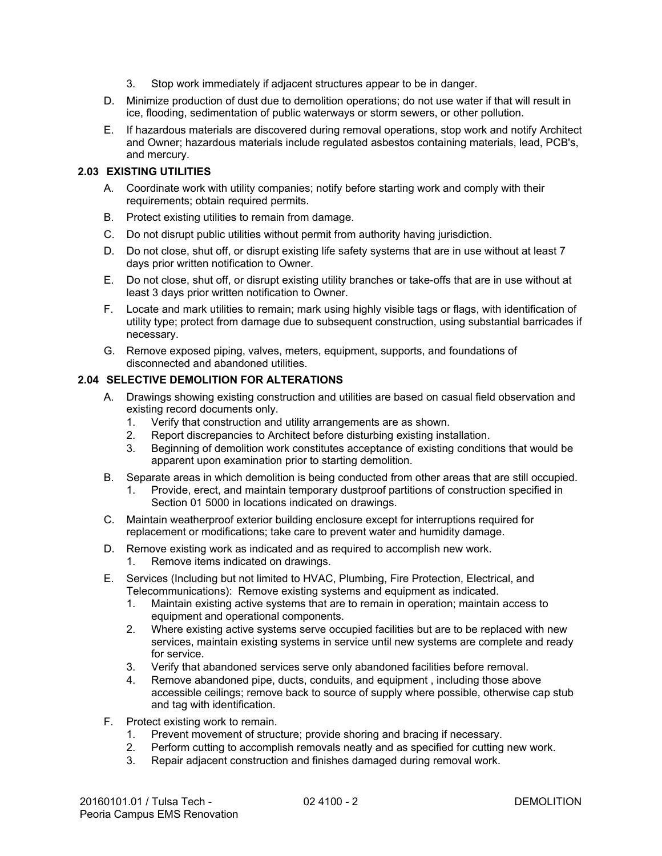- 3. Stop work immediately if adjacent structures appear to be in danger.
- D. Minimize production of dust due to demolition operations; do not use water if that will result in ice, flooding, sedimentation of public waterways or storm sewers, or other pollution.
- E. If hazardous materials are discovered during removal operations, stop work and notify Architect and Owner; hazardous materials include regulated asbestos containing materials, lead, PCB's, and mercury.

#### **2.03 EXISTING UTILITIES**

- A. Coordinate work with utility companies; notify before starting work and comply with their requirements; obtain required permits.
- B. Protect existing utilities to remain from damage.
- C. Do not disrupt public utilities without permit from authority having jurisdiction.
- D. Do not close, shut off, or disrupt existing life safety systems that are in use without at least 7 days prior written notification to Owner.
- E. Do not close, shut off, or disrupt existing utility branches or take-offs that are in use without at least 3 days prior written notification to Owner.
- F. Locate and mark utilities to remain; mark using highly visible tags or flags, with identification of utility type; protect from damage due to subsequent construction, using substantial barricades if necessary.
- G. Remove exposed piping, valves, meters, equipment, supports, and foundations of disconnected and abandoned utilities.

#### **2.04 SELECTIVE DEMOLITION FOR ALTERATIONS**

- A. Drawings showing existing construction and utilities are based on casual field observation and existing record documents only.
	- 1. Verify that construction and utility arrangements are as shown.
	- 2. Report discrepancies to Architect before disturbing existing installation.
	- 3. Beginning of demolition work constitutes acceptance of existing conditions that would be apparent upon examination prior to starting demolition.
- B. Separate areas in which demolition is being conducted from other areas that are still occupied.
	- 1. Provide, erect, and maintain temporary dustproof partitions of construction specified in Section 01 5000 in locations indicated on drawings.
- C. Maintain weatherproof exterior building enclosure except for interruptions required for replacement or modifications; take care to prevent water and humidity damage.
- D. Remove existing work as indicated and as required to accomplish new work.
	- 1. Remove items indicated on drawings.
- E. Services (Including but not limited to HVAC, Plumbing, Fire Protection, Electrical, and Telecommunications): Remove existing systems and equipment as indicated.
	- 1. Maintain existing active systems that are to remain in operation; maintain access to equipment and operational components.
	- 2. Where existing active systems serve occupied facilities but are to be replaced with new services, maintain existing systems in service until new systems are complete and ready for service.
	- 3. Verify that abandoned services serve only abandoned facilities before removal.
	- 4. Remove abandoned pipe, ducts, conduits, and equipment , including those above accessible ceilings; remove back to source of supply where possible, otherwise cap stub and tag with identification.
- F. Protect existing work to remain.
	- 1. Prevent movement of structure; provide shoring and bracing if necessary.
	- 2. Perform cutting to accomplish removals neatly and as specified for cutting new work.
	- 3. Repair adjacent construction and finishes damaged during removal work.